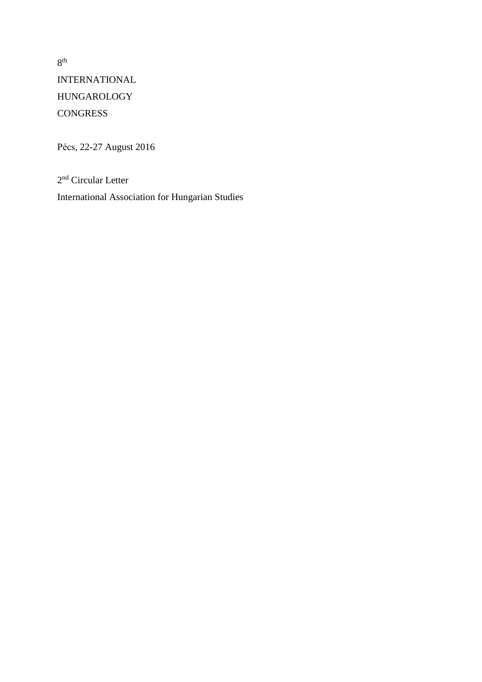8 th INTERNATIONAL HUNGAROLOGY **CONGRESS** 

Pécs, 22-27 August 2016

2<sup>nd</sup> Circular Letter International Association for Hungarian Studies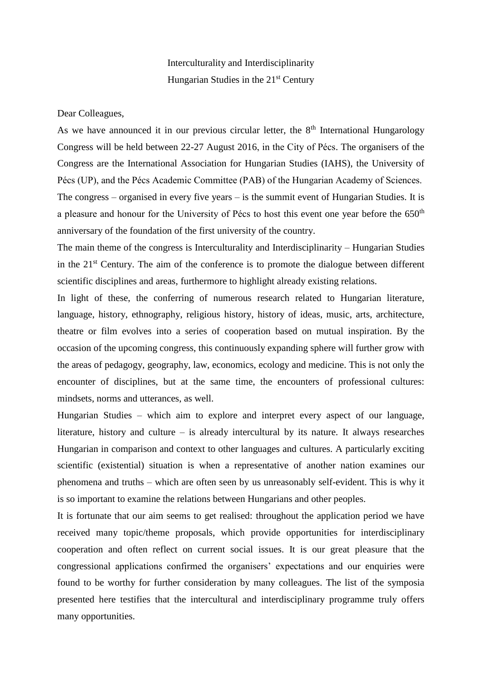## Interculturality and Interdisciplinarity Hungarian Studies in the  $21<sup>st</sup>$  Century

Dear Colleagues,

As we have announced it in our previous circular letter, the  $8<sup>th</sup>$  International Hungarology Congress will be held between 22-27 August 2016, in the City of Pécs. The organisers of the Congress are the International Association for Hungarian Studies (IAHS), the University of Pécs (UP), and the Pécs Academic Committee (PAB) of the Hungarian Academy of Sciences. The congress – organised in every five years – is the summit event of Hungarian Studies. It is a pleasure and honour for the University of Pécs to host this event one year before the  $650<sup>th</sup>$ anniversary of the foundation of the first university of the country.

The main theme of the congress is Interculturality and Interdisciplinarity – Hungarian Studies in the  $21<sup>st</sup>$  Century. The aim of the conference is to promote the dialogue between different scientific disciplines and areas, furthermore to highlight already existing relations.

In light of these, the conferring of numerous research related to Hungarian literature, language, history, ethnography, religious history, history of ideas, music, arts, architecture, theatre or film evolves into a series of cooperation based on mutual inspiration. By the occasion of the upcoming congress, this continuously expanding sphere will further grow with the areas of pedagogy, geography, law, economics, ecology and medicine. This is not only the encounter of disciplines, but at the same time, the encounters of professional cultures: mindsets, norms and utterances, as well.

Hungarian Studies – which aim to explore and interpret every aspect of our language, literature, history and culture – is already intercultural by its nature. It always researches Hungarian in comparison and context to other languages and cultures. A particularly exciting scientific (existential) situation is when a representative of another nation examines our phenomena and truths – which are often seen by us unreasonably self-evident. This is why it is so important to examine the relations between Hungarians and other peoples.

It is fortunate that our aim seems to get realised: throughout the application period we have received many topic/theme proposals, which provide opportunities for interdisciplinary cooperation and often reflect on current social issues. It is our great pleasure that the congressional applications confirmed the organisers' expectations and our enquiries were found to be worthy for further consideration by many colleagues. The list of the symposia presented here testifies that the intercultural and interdisciplinary programme truly offers many opportunities.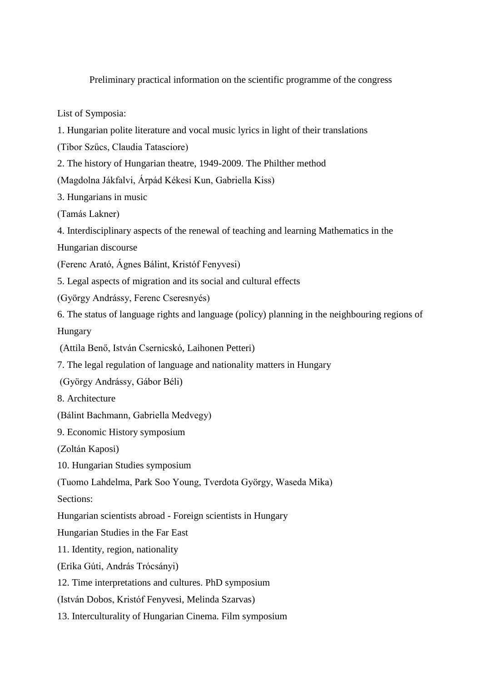Preliminary practical information on the scientific programme of the congress

List of Symposia:

- 1. Hungarian polite literature and vocal music lyrics in light of their translations
- (Tibor Szűcs, Claudia Tatasciore)
- 2. The history of Hungarian theatre, 1949-2009. The Philther method
- (Magdolna Jákfalvi, Árpád Kékesi Kun, Gabriella Kiss)

3. Hungarians in music

(Tamás Lakner)

4. Interdisciplinary aspects of the renewal of teaching and learning Mathematics in the

Hungarian discourse

(Ferenc Arató, Ágnes Bálint, Kristóf Fenyvesi)

5. Legal aspects of migration and its social and cultural effects

(György Andrássy, Ferenc Cseresnyés)

6. The status of language rights and language (policy) planning in the neighbouring regions of

Hungary

- (Attila Benő, István Csernicskó, Laihonen Petteri)
- 7. The legal regulation of language and nationality matters in Hungary
- (György Andrássy, Gábor Béli)
- 8. Architecture
- (Bálint Bachmann, Gabriella Medvegy)
- 9. Economic History symposium

(Zoltán Kaposi)

10. Hungarian Studies symposium

(Tuomo Lahdelma, Park Soo Young, Tverdota György, Waseda Mika)

Sections:

Hungarian scientists abroad - Foreign scientists in Hungary

Hungarian Studies in the Far East

11. Identity, region, nationality

(Erika Gúti, András Trócsányi)

12. Time interpretations and cultures. PhD symposium

(István Dobos, Kristóf Fenyvesi, Melinda Szarvas)

13. Interculturality of Hungarian Cinema. Film symposium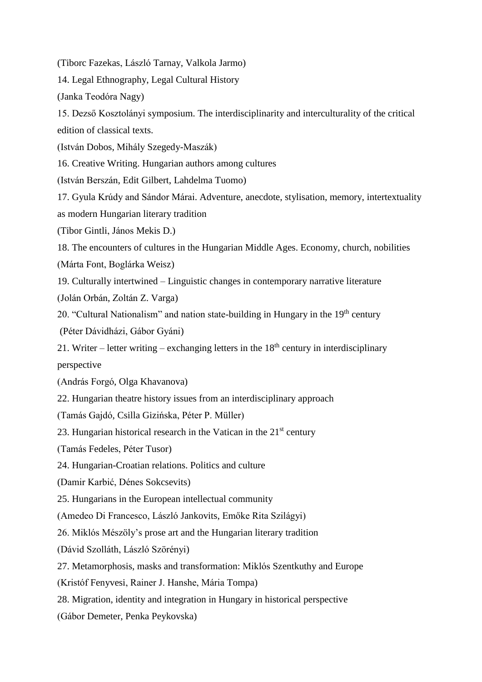(Tiborc Fazekas, László Tarnay, Valkola Jarmo)

14. Legal Ethnography, Legal Cultural History

(Janka Teodóra Nagy)

15. Dezső Kosztolányi symposium. The interdisciplinarity and interculturality of the critical edition of classical texts.

(István Dobos, Mihály Szegedy-Maszák)

16. Creative Writing. Hungarian authors among cultures

(István Berszán, Edit Gilbert, Lahdelma Tuomo)

17. Gyula Krúdy and Sándor Márai. Adventure, anecdote, stylisation, memory, intertextuality as modern Hungarian literary tradition

(Tibor Gintli, János Mekis D.)

18. The encounters of cultures in the Hungarian Middle Ages. Economy, church, nobilities (Márta Font, Boglárka Weisz)

19. Culturally intertwined – Linguistic changes in contemporary narrative literature

(Jolán Orbán, Zoltán Z. Varga)

20. "Cultural Nationalism" and nation state-building in Hungary in the  $19<sup>th</sup>$  century

(Péter Dávidházi, Gábor Gyáni)

21. Writer – letter writing – exchanging letters in the  $18<sup>th</sup>$  century in interdisciplinary perspective

(András Forgó, Olga Khavanova)

22. Hungarian theatre history issues from an interdisciplinary approach

(Tamás Gajdó, Csilla Gizińska, Péter P. Müller)

23. Hungarian historical research in the Vatican in the  $21<sup>st</sup>$  century

(Tamás Fedeles, Péter Tusor)

24. Hungarian-Croatian relations. Politics and culture

(Damir Karbić, Dénes Sokcsevits)

25. Hungarians in the European intellectual community

(Amedeo Di Francesco, László Jankovits, Emőke Rita Szilágyi)

26. Miklós Mészöly's prose art and the Hungarian literary tradition

(Dávid Szolláth, László Szörényi)

27. Metamorphosis, masks and transformation: Miklós Szentkuthy and Europe

(Kristóf Fenyvesi, Rainer J. Hanshe, Mária Tompa)

28. Migration, identity and integration in Hungary in historical perspective

(Gábor Demeter, Penka Peykovska)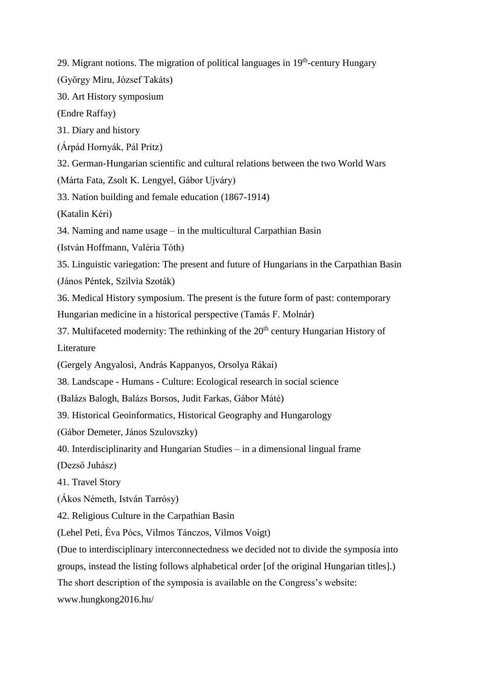29. Migrant notions. The migration of political languages in 19<sup>th</sup>-century Hungary

(György Miru, József Takáts)

30. Art History symposium

(Endre Raffay)

31. Diary and history

(Árpád Hornyák, Pál Pritz)

32. German-Hungarian scientific and cultural relations between the two World Wars

(Márta Fata, Zsolt K. Lengyel, Gábor Ujváry)

33. Nation building and female education (1867-1914)

(Katalin Kéri)

34. Naming and name usage – in the multicultural Carpathian Basin

(István Hoffmann, Valéria Tóth)

35. Linguistic variegation: The present and future of Hungarians in the Carpathian Basin (János Péntek, Szilvia Szoták)

36. Medical History symposium. The present is the future form of past: contemporary

Hungarian medicine in a historical perspective (Tamás F. Molnár)

37. Multifaceted modernity: The rethinking of the  $20<sup>th</sup>$  century Hungarian History of Literature

(Gergely Angyalosi, András Kappanyos, Orsolya Rákai)

38. Landscape - Humans - Culture: Ecological research in social science

(Balázs Balogh, Balázs Borsos, Judit Farkas, Gábor Máté)

39. Historical Geoinformatics, Historical Geography and Hungarology

(Gábor Demeter, János Szulovszky)

40. Interdisciplinarity and Hungarian Studies – in a dimensional lingual frame

(Dezső Juhász)

41. Travel Story

(Ákos Németh, István Tarrósy)

42. Religious Culture in the Carpathian Basin

(Lehel Peti, Éva Pócs, Vilmos Tánczos, Vilmos Voigt)

(Due to interdisciplinary interconnectedness we decided not to divide the symposia into

groups, instead the listing follows alphabetical order [of the original Hungarian titles].)

The short description of the symposia is available on the Congress's website:

www.hungkong2016.hu/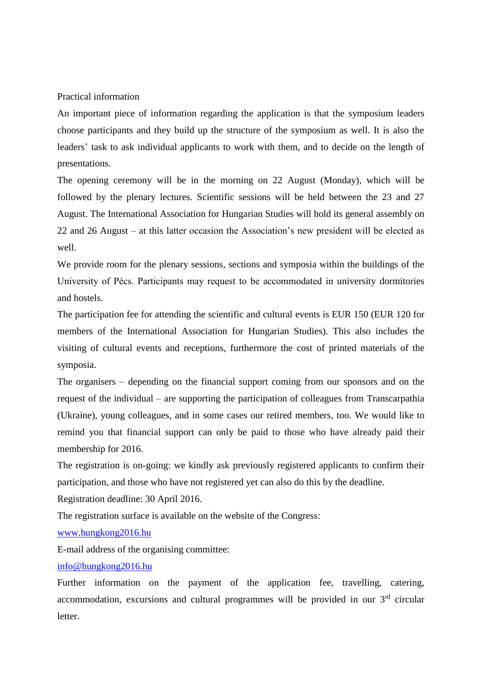Practical information

An important piece of information regarding the application is that the symposium leaders choose participants and they build up the structure of the symposium as well. It is also the leaders' task to ask individual applicants to work with them, and to decide on the length of presentations.

The opening ceremony will be in the morning on 22 August (Monday), which will be followed by the plenary lectures. Scientific sessions will be held between the 23 and 27 August. The International Association for Hungarian Studies will hold its general assembly on 22 and 26 August – at this latter occasion the Association's new president will be elected as well.

We provide room for the plenary sessions, sections and symposia within the buildings of the University of Pécs. Participants may request to be accommodated in university dormitories and hostels.

The participation fee for attending the scientific and cultural events is EUR 150 (EUR 120 for members of the International Association for Hungarian Studies). This also includes the visiting of cultural events and receptions, furthermore the cost of printed materials of the symposia.

The organisers – depending on the financial support coming from our sponsors and on the request of the individual – are supporting the participation of colleagues from Transcarpathia (Ukraine), young colleagues, and in some cases our retired members, too. We would like to remind you that financial support can only be paid to those who have already paid their membership for 2016.

The registration is on-going: we kindly ask previously registered applicants to confirm their participation, and those who have not registered yet can also do this by the deadline.

Registration deadline: 30 April 2016.

The registration surface is available on the website of the Congress:

[www.hungkong2016.hu](http://www.hungkong2016.hu/)

E-mail address of the organising committee:

## [info@hungkong2016.hu](mailto:info@hungkong2016.hu)

Further information on the payment of the application fee, travelling, catering, accommodation, excursions and cultural programmes will be provided in our 3rd circular letter.